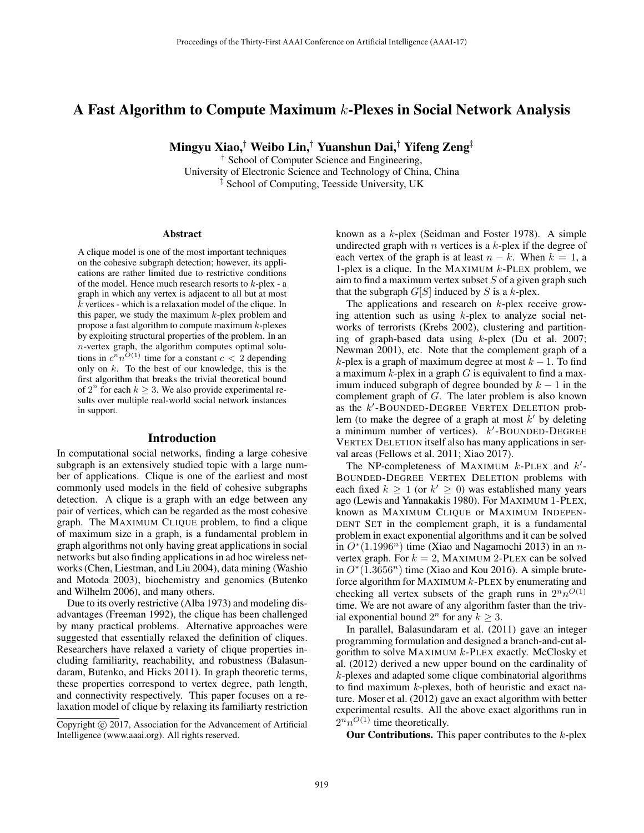# A Fast Algorithm to Compute Maximum k-Plexes in Social Network Analysis

Mingyu Xiao,† Weibo Lin,† Yuanshun Dai,† Yifeng Zeng‡

† School of Computer Science and Engineering, University of Electronic Science and Technology of China, China ‡ School of Computing, Teesside University, UK

#### Abstract

A clique model is one of the most important techniques on the cohesive subgraph detection; however, its applications are rather limited due to restrictive conditions of the model. Hence much research resorts to k-plex - a graph in which any vertex is adjacent to all but at most k vertices - which is a relaxation model of the clique. In this paper, we study the maximum  $k$ -plex problem and propose a fast algorithm to compute maximum  $k$ -plexes by exploiting structural properties of the problem. In an  $n$ -vertex graph, the algorithm computes optimal solutions in  $c^n n^{O(1)}$  time for a constant  $c < 2$  depending only on  $k$ . To the best of our knowledge, this is the first algorithm that breaks the trivial theoretical bound of  $2^n$  for each  $k \geq 3$ . We also provide experimental results over multiple real-world social network instances in support.

#### Introduction

In computational social networks, finding a large cohesive subgraph is an extensively studied topic with a large number of applications. Clique is one of the earliest and most commonly used models in the field of cohesive subgraphs detection. A clique is a graph with an edge between any pair of vertices, which can be regarded as the most cohesive graph. The MAXIMUM CLIQUE problem, to find a clique of maximum size in a graph, is a fundamental problem in graph algorithms not only having great applications in social networks but also finding applications in ad hoc wireless networks (Chen, Liestman, and Liu 2004), data mining (Washio and Motoda 2003), biochemistry and genomics (Butenko and Wilhelm 2006), and many others.

Due to its overly restrictive (Alba 1973) and modeling disadvantages (Freeman 1992), the clique has been challenged by many practical problems. Alternative approaches were suggested that essentially relaxed the definition of cliques. Researchers have relaxed a variety of clique properties including familiarity, reachability, and robustness (Balasundaram, Butenko, and Hicks 2011). In graph theoretic terms, these properties correspond to vertex degree, path length, and connectivity respectively. This paper focuses on a relaxation model of clique by relaxing its familiarty restriction

known as a k-plex (Seidman and Foster 1978). A simple undirected graph with  $n$  vertices is a  $k$ -plex if the degree of each vertex of the graph is at least  $n - k$ . When  $k = 1$ , a 1-plex is a clique. In the MAXIMUM  $k$ -PLEX problem, we aim to find a maximum vertex subset  $S$  of a given graph such that the subgraph  $G[S]$  induced by S is a k-plex.

The applications and research on  $k$ -plex receive growing attention such as using  $k$ -plex to analyze social networks of terrorists (Krebs 2002), clustering and partitioning of graph-based data using  $k$ -plex (Du et al. 2007; Newman 2001), etc. Note that the complement graph of a k-plex is a graph of maximum degree at most  $k - 1$ . To find a maximum  $k$ -plex in a graph  $G$  is equivalent to find a maximum induced subgraph of degree bounded by  $k - 1$  in the complement graph of G. The later problem is also known as the  $k'$ -BOUNDED-DEGREE VERTEX DELETION problem (to make the degree of a graph at most  $k'$  by deleting a minimum number of vertices).  $k'$ -BOUNDED-DEGREE VERTEX DELETION itself also has many applications in serval areas (Fellows et al. 2011; Xiao 2017).

The NP-completeness of MAXIMUM  $k$ -PLEX and  $k'$ -BOUNDED-DEGREE VERTEX DELETION problems with each fixed  $k \ge 1$  (or  $k' \ge 0$ ) was established many years ago (Lewis and Yannakakis 1980). For MAXIMUM 1-PLEX ago (Lewis and Yannakakis 1980). For MAXIMUM 1-PLEX, known as MAXIMUM CLIQUE or MAXIMUM INDEPEN-DENT SET in the complement graph, it is a fundamental problem in exact exponential algorithms and it can be solved in  $O<sup>*</sup>(1.1996<sup>n</sup>)$  time (Xiao and Nagamochi 2013) in an nvertex graph. For  $k = 2$ , MAXIMUM 2-PLEX can be solved in  $O<sup>*</sup>(1.3656<sup>n</sup>)$  time (Xiao and Kou 2016). A simple bruteforce algorithm for MAXIMUM k-PLEX by enumerating and checking all vertex subsets of the graph runs in  $2^n n^{O(1)}$ time. We are not aware of any algorithm faster than the trivial exponential bound  $2^n$  for any  $k \geq 3$ .

In parallel, Balasundaram et al. (2011) gave an integer programming formulation and designed a branch-and-cut algorithm to solve MAXIMUM  $k$ -PLEX exactly. McClosky et al. (2012) derived a new upper bound on the cardinality of k-plexes and adapted some clique combinatorial algorithms to find maximum  $k$ -plexes, both of heuristic and exact nature. Moser et al. (2012) gave an exact algorithm with better experimental results. All the above exact algorithms run in  $2^n n^{O(1)}$  time theoretically.

**Our Contributions.** This paper contributes to the  $k$ -plex

Copyright @ 2017, Association for the Advancement of Artificial Intelligence (www.aaai.org). All rights reserved.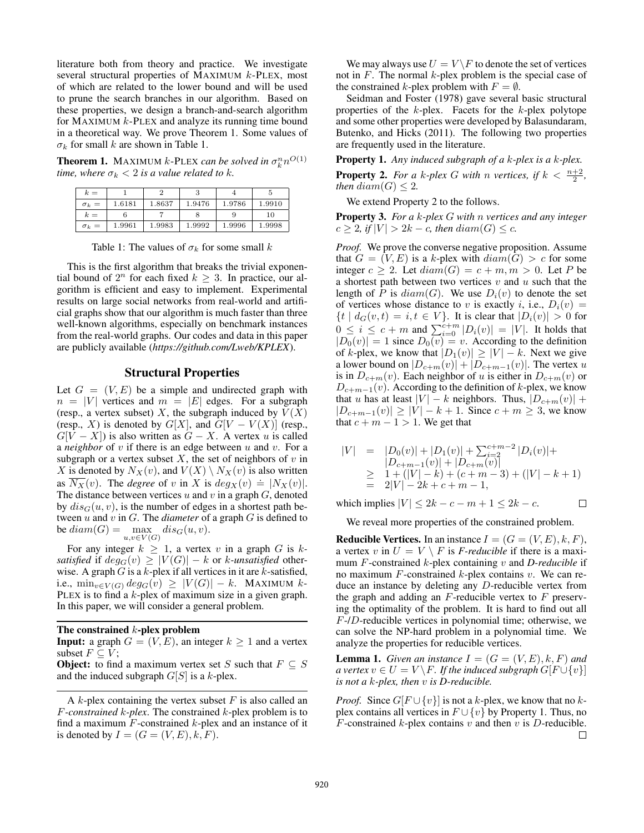literature both from theory and practice. We investigate several structural properties of MAXIMUM k-PLEX, most of which are related to the lower bound and will be used to prune the search branches in our algorithm. Based on these properties, we design a branch-and-search algorithm for MAXIMUM  $k$ -PLEX and analyze its running time bound in a theoretical way. We prove Theorem 1. Some values of  $\sigma_k$  for small k are shown in Table 1.

**Theorem 1.** MAXIMUM k-PLEX can be solved in  $\sigma_k^n n^{O(1)}$ *time, where*  $\sigma_k < 2$  *is a value related to k.* 

| $k =$        |        |        |        |        |        |
|--------------|--------|--------|--------|--------|--------|
| $\sigma_k =$ | 1.6181 | 1.8637 | 1.9476 | 1.9786 | 1.9910 |
| $k =$        |        |        |        | 9      | 10     |
| $\sigma_k =$ | 1.9961 | 1.9983 | 1.9992 | 1.9996 | 1.9998 |

Table 1: The values of  $\sigma_k$  for some small k

This is the first algorithm that breaks the trivial exponential bound of  $2^n$  for each fixed  $k \geq 3$ . In practice, our algorithm is efficient and easy to implement. Experimental results on large social networks from real-world and artificial graphs show that our algorithm is much faster than three well-known algorithms, especially on benchmark instances from the real-world graphs. Our codes and data in this paper are publicly available (*https://github.com/Lweb/KPLEX*).

# Structural Properties

Let  $G = (V, E)$  be a simple and undirected graph with  $n = |V|$  vertices and  $m = |E|$  edges. For a subgraph (resp., a vertex subset) X, the subgraph induced by  $V(X)$ (resp., X) is denoted by  $G[X]$ , and  $G[V - V(X)]$  (resp.,  $G[V - X]$ ) is also written as  $G - X$ . A vertex u is called a *neighbor* of v if there is an edge between u and v. For a subgraph or a vertex subset  $X$ , the set of neighbors of  $v$  in X is denoted by  $N_X(v)$ , and  $V(X) \setminus N_X(v)$  is also written as  $\overline{N_X}(v)$ . The *degree* of v in X is  $deg_X(v) = |N_X(v)|$ .<br>The distance between vertices y and y in a graph G denoted The distance between vertices  $u$  and  $v$  in a graph  $G$ , denoted by  $dis_G(u, v)$ , is the number of edges in a shortest path between u and v in G. The *diameter* of a graph G is defined to be  $diam(G) = \max_{u,v \in V(G)} dis_G(u,v)$ .

For any integer  $k \geq 1$ , a vertex v in a graph G is k*satisfied* if  $deg_G(v) \geq |V(G)| - k$  or k-unsatisfied otherwise. A graph  $G$  is a  $k$ -plex if all vertices in it are  $k$ -satisfied, i.e.,  $\min_{v \in V(G)} deg_G(v) \geq |V(G)| - k$ . MAXIMUM k-PLEX is to find a k-plex of maximum size in a given graph. In this paper, we will consider a general problem.

#### The constrained  $k$ -plex problem

**Input:** a graph  $G = (V, E)$ , an integer  $k \ge 1$  and a vertex subset  $F \subseteq V$ ;

**Object:** to find a maximum vertex set S such that  $F \subseteq S$ and the induced subgraph  $G[S]$  is a k-plex.

We may always use  $U = V \backslash F$  to denote the set of vertices not in  $F$ . The normal  $k$ -plex problem is the special case of the constrained k-plex problem with  $F = \emptyset$ .

Seidman and Foster (1978) gave several basic structural properties of the  $k$ -plex. Facets for the  $k$ -plex polytope and some other properties were developed by Balasundaram, Butenko, and Hicks (2011). The following two properties are frequently used in the literature.

Property 1. *Any induced subgraph of a* k*-plex is a* k*-plex.*

**Property 2.** For a k-plex G with n vertices, if  $k < \frac{n+2}{2}$ , *then*  $diam(G) \leq 2$ *.* 

We extend Property 2 to the follows.

Property 3. *For a* k*-plex* G *with* n *vertices and any integer*  $c \geq 2$ , if  $|V| > 2k - c$ , then  $diam(G) \leq c$ .

*Proof.* We prove the converse negative proposition. Assume that  $G = (V, E)$  is a k-plex with  $diam(G) > c$  for some integer  $c \geq 2$ . Let  $diam(G) = c + m, m > 0$ . Let P be a shortest path between two vertices  $v$  and  $u$  such that the length of P is  $diam(G)$ . We use  $D_i(v)$  to denote the set of vertices whose distance to v is exactly i, i.e.,  $D_i(v)$ of vertices whose distance to v is exactly i, i.e.,  $D_i(v) =$ <br> $\{t | d_G(v, t) = i, t \in V\}$  It is clear that  $|D_i(v)| > 0$  for  $\{t \mid d_G(v,t) = i, t \in V\}$ . It is clear that  $|D_i(v)| > 0$  for  $0 \le i \le a + m$  and  $\sum_{i=1}^{c+m} |D_i(v)| = |V|$ . It holds that  $0 \le i \le c+m$  and  $\sum_{i=0}^{c+m} |D_i(v)| = |V|$ . It holds that  $|D_0(v)| = 1$  since  $D_0(v) = v$ . According to the definition  $|D_0(v)| = 1$  since  $D_0(v) = v$ . According to the definition<br>of k-plex, we know that  $|D_1(v)| > |V| = k$ . Next we give of k-plex, we know that  $|D_1(v)| \geq |V| - k$ . Next we give a lower bound on  $|D_{c+m}(v)| + |D_{c+m-1}(v)|$ . The vertex u is in  $D_{c+m}(v)$ . Each neighbor of u is either in  $D_{c+m}(v)$  or  $D_{c+m-1}(v)$ . According to the definition of k-plex, we know that u has at least  $|V| - k$  neighbors. Thus,  $|D_{c+m}(v)| +$  $|D_{c+m-1}(v)| \ge |V| - k + 1$ . Since  $c + m \ge 3$ , we know that  $c + m - 1 > 1$ . We get that

$$
|V| = |D_0(v)| + |D_1(v)| + \sum_{i=2}^{c+m-2} |D_i(v)| +
$$
  
\n
$$
\geq |D_{c+m-1}(v)| + |D_{c+m}(v)|
$$
  
\n
$$
\geq 1 + (|V| - k) + (c+m-3) + (|V| - k + 1)
$$
  
\n
$$
= 2|V| - 2k + c + m - 1,
$$

which implies  $|V| \leq 2k - c - m + 1 \leq 2k - c$ .  $\Box$ 

We reveal more properties of the constrained problem.

**Reducible Vertices.** In an instance  $I = (G = (V, E), k, F)$ , a vertex v in  $U = V \setminus F$  is *F-reducible* if there is a maximum F-constrained k-plex containing v and *D-reducible* if no maximum  $F$ -constrained  $k$ -plex contains  $v$ . We can reduce an instance by deleting any D-reducible vertex from the graph and adding an  $F$ -reducible vertex to  $F$  preserving the optimality of the problem. It is hard to find out all F-/D-reducible vertices in polynomial time; otherwise, we can solve the NP-hard problem in a polynomial time. We analyze the properties for reducible vertices.

**Lemma 1.** *Given an instance*  $I = (G = (V, E), k, F)$  *and a vertex*  $v \in U = V \backslash F$ *. If the induced subgraph*  $G[F \cup \{v\}]$ *is not a* k*-plex, then* v *is D-reducible.*

*Proof.* Since  $G[F \cup \{v\}]$  is not a k-plex, we know that no kplex contains all vertices in  $F \cup \{v\}$  by Property 1. Thus, no  $F$ -constrained  $k$ -plex contains  $v$  and then  $v$  is  $D$ -reducible. □

A  $k$ -plex containing the vertex subset  $F$  is also called an F*-constrained* k*-plex*. The constrained k-plex problem is to find a maximum  $F$ -constrained  $k$ -plex and an instance of it is denoted by  $I = (G = (V, E), k, F)$ .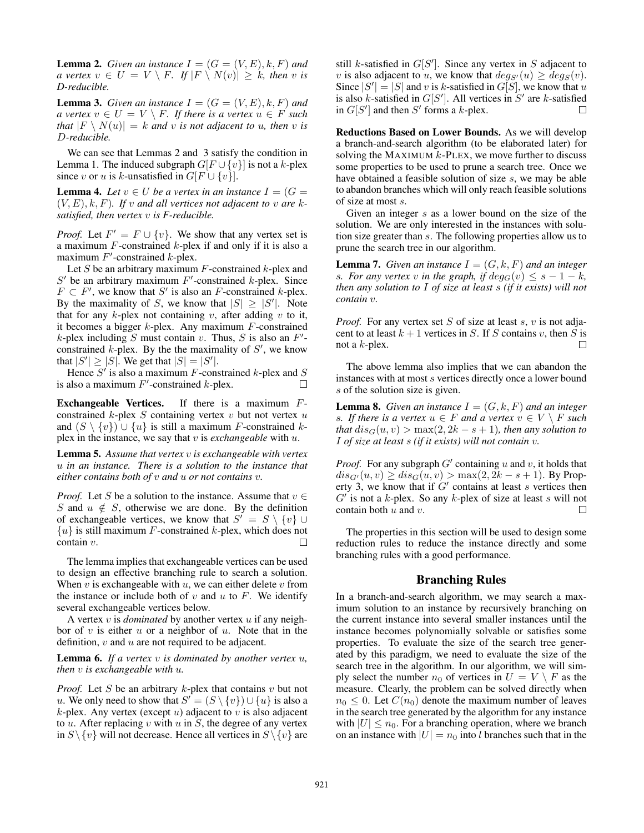**Lemma 2.** *Given an instance*  $I = (G = (V, E), k, F)$  *and a vertex*  $v \in U = V \setminus F$ *. If*  $|F \setminus N(v)| \geq k$ *, then* v *is D-reducible.*

**Lemma 3.** *Given an instance*  $I = (G = (V, E), k, F)$  *and a vertex*  $v \in U = V \setminus F$ *. If there is a vertex*  $u \in F$  *such that*  $|F \setminus N(u)| = k$  *and* v *is not adjacent to u, then* v *is* D*-reducible.*

We can see that Lemmas 2 and 3 satisfy the condition in Lemma 1. The induced subgraph  $G[F \cup \{v\}]$  is not a k-plex since v or u is k-unsatisfied in  $G[F \cup \{v\}]$ .

**Lemma 4.** Let  $v \in U$  be a vertex in an instance  $I = (G =$  $(V, E), k, F$ ). If v and all vertices not adjacent to v are k*satisfied, then vertex* v *is F-reducible.*

*Proof.* Let  $F' = F \cup \{v\}$ . We show that any vertex set is a maximum  $F$ -constrained k-plex if and only if it is also a a maximum  $F$ -constrained  $k$ -plex if and only if it is also a maximum  $F'$ -constrained  $k$ -plex.

Let S be an arbitrary maximum  $F$ -constrained  $k$ -plex and  $S'$  be an arbitrary maximum  $F'$ -constrained k-plex. Since  $F \subset F'$ , we know that  $S'$  is also an F-constrained k-plex. By the maximality of S, we know that  $|S| \geq |S'|$ . Note that for any  $k$ -plex not containing  $v$ , after adding  $v$  to it, it becomes a bigger  $k$ -plex. Any maximum  $F$ -constrained k-plex including S must contain v. Thus, S is also an  $F'$ constrained  $k$ -plex. By the the maximality of  $S'$ , we know that  $|S'| \ge |S|$ . We get that  $|S| = |S'|$ .<br>Hence S' is also a maximum F-cons

Hence  $S'$  is also a maximum F-constrained k-plex and S is also a maximum  $F'$ -constrained k-plex.  $\Box$ 

Exchangeable Vertices. If there is a maximum Fconstrained  $k$ -plex  $S$  containing vertex  $v$  but not vertex  $u$ and  $(S \setminus \{v\}) \cup \{u\}$  is still a maximum F-constrained kplex in the instance, we say that v is *exchangeable* with u.

Lemma 5. *Assume that vertex* v *is exchangeable with vertex* u *in an instance. There is a solution to the instance that either contains both of* v *and* u *or not contains* v*.*

*Proof.* Let S be a solution to the instance. Assume that  $v \in$ S and  $u \notin S$ , otherwise we are done. By the definition of exchangeable vertices, we know that  $S' = S \setminus \{v\} \cup \{u\}$  is still maximum *F*-constrained k-plex which does not  $\{u\}$  is still maximum *F*-constrained *k*-plex, which does not contain *v* contain v.

The lemma implies that exchangeable vertices can be used to design an effective branching rule to search a solution. When  $v$  is exchangeable with  $u$ , we can either delete  $v$  from the instance or include both of  $v$  and  $u$  to  $F$ . We identify several exchangeable vertices below.

A vertex v is *dominated* by another vertex u if any neighbor of  $v$  is either  $u$  or a neighbor of  $u$ . Note that in the definition,  $v$  and  $u$  are not required to be adjacent.

Lemma 6. *If a vertex* v *is dominated by another vertex* u*, then* v *is exchangeable with* u*.*

*Proof.* Let S be an arbitrary  $k$ -plex that contains  $v$  but not u. We only need to show that  $S' = (S \setminus \{v\}) \cup \{u\}$  is also a  $k$ -plex Any vertex (except u) adjacent to v is also adjacent  $k$ -plex. Any vertex (except  $u$ ) adjacent to  $v$  is also adjacent to  $u$ . After replacing  $v$  with  $u$  in  $S$ , the degree of any vertex in  $S \setminus \{v\}$  will not decrease. Hence all vertices in  $S \setminus \{v\}$  are still k-satisfied in  $G[S']$ . Since any vertex in S adjacent to <br>*v* is also adjacent to *u*, we know that  $deas(u) \geq deas(v)$ v is also adjacent to u, we know that  $deg_{S'}(u) \geq deg_{S}(v)$ .<br>Since  $|S'| = |S|$  and v is k-satisfied in  $G[S]$  we know that u Since  $|S'| = |S|$  and v is k-satisfied in  $G[S]$ , we know that u<br>is also k-satisfied in  $G[S']$  All vertices in S' are k-satisfied is also k-satisfied in  $G[S']$ . All vertices in S' are k-satisfied<br>in  $G[S']$  and then S' forms a k-plex in  $G[S']$  and then  $S'$  forms a k-plex.  $\Box$ 

Reductions Based on Lower Bounds. As we will develop a branch-and-search algorithm (to be elaborated later) for solving the MAXIMUM  $k$ -PLEX, we move further to discuss some properties to be used to prune a search tree. Once we have obtained a feasible solution of size s, we may be able to abandon branches which will only reach feasible solutions of size at most s.

Given an integer s as a lower bound on the size of the solution. We are only interested in the instances with solution size greater than s. The following properties allow us to prune the search tree in our algorithm.

**Lemma 7.** *Given an instance*  $I = (G, k, F)$  *and an integer s. For any vertex* v in the graph, if  $deg_G(v) \leq s - 1 - k$ , *then any solution to* I *of size at least* s *(if it exists) will not contain* v*.*

*Proof.* For any vertex set S of size at least s, v is not adjacent to at least  $k + 1$  vertices in S. If S contains v, then S is not a k-plex not a k-plex.

The above lemma also implies that we can abandon the instances with at most s vertices directly once a lower bound s of the solution size is given.

**Lemma 8.** *Given an instance*  $I = (G, k, F)$  *and an integer s. If there is a vertex*  $u \in F$  *and a vertex*  $v \in V \setminus F$  *such that*  $dis_G(u, v) > max(2, 2k - s + 1)$ *, then any solution to* I *of size at least* s *(if it exists) will not contain* v*.*

*Proof.* For any subgraph  $G'$  containing u and v, it holds that  $dis_{G'}(u, v) \geq dis_{G}(u, v) > \max(2, 2k - s + 1)$ . By Property 3, we know that if  $G'$  contains at least s vertices then erty 3, we know that if  $G'$  contains at least s vertices then  $G'$  is not a k-plex. So any k-plex of size at least s will not contain both u and v. П

The properties in this section will be used to design some reduction rules to reduce the instance directly and some branching rules with a good performance.

# Branching Rules

In a branch-and-search algorithm, we may search a maximum solution to an instance by recursively branching on the current instance into several smaller instances until the instance becomes polynomially solvable or satisfies some properties. To evaluate the size of the search tree generated by this paradigm, we need to evaluate the size of the search tree in the algorithm. In our algorithm, we will simply select the number  $n_0$  of vertices in  $U = V \setminus F$  as the measure. Clearly, the problem can be solved directly when  $n_0 \leq 0$ . Let  $C(n_0)$  denote the maximum number of leaves in the search tree generated by the algorithm for any instance with  $|U| \leq n_0$ . For a branching operation, where we branch on an instance with  $|U| = n_0$  into l branches such that in the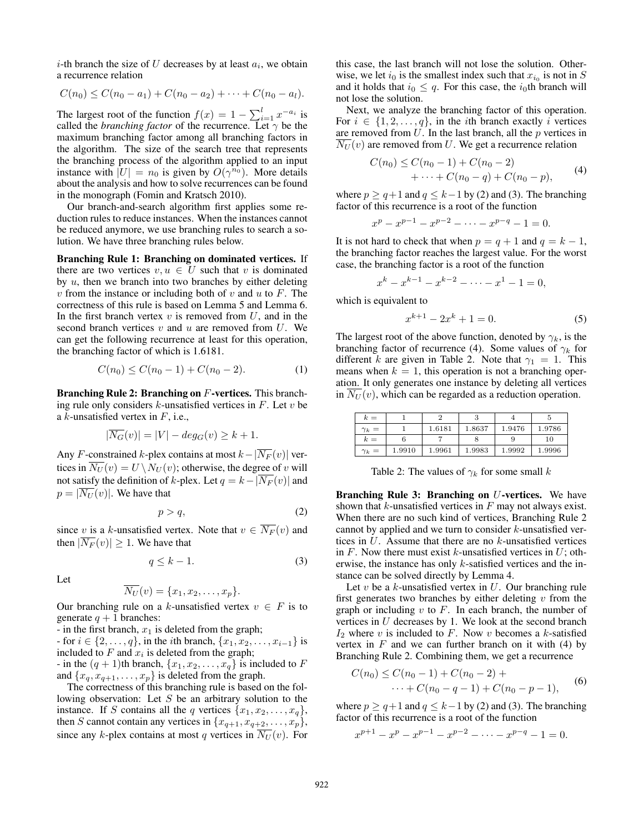*i*-th branch the size of U decreases by at least  $a_i$ , we obtain a recurrence relation

$$
C(n_0) \leq C(n_0 - a_1) + C(n_0 - a_2) + \cdots + C(n_0 - a_l).
$$

The largest root of the function  $f(x) = 1 - \sum_{i=1}^{l} x^{-a_i}$  is called the *branching factor* of the recurrence Let  $\gamma$  be the called the *branching factor* of the recurrence. Let  $\gamma$  be the maximum branching factor among all branching factors in the algorithm. The size of the search tree that represents the branching process of the algorithm applied to an input instance with  $|U| = n_0$  is given by  $O(\gamma^{n_0})$ . More details about the analysis and how to solve recurrences can be found in the monograph (Fomin and Kratsch 2010).

Our branch-and-search algorithm first applies some reduction rules to reduce instances. When the instances cannot be reduced anymore, we use branching rules to search a solution. We have three branching rules below.

Branching Rule 1: Branching on dominated vertices. If there are two vertices  $v, u \in U$  such that v is dominated by  $u$ , then we branch into two branches by either deleting  $v$  from the instance or including both of  $v$  and  $u$  to  $F$ . The correctness of this rule is based on Lemma 5 and Lemma 6. In the first branch vertex  $v$  is removed from  $U$ , and in the second branch vertices  $v$  and  $u$  are removed from  $U$ . We can get the following recurrence at least for this operation, the branching factor of which is 1.6181.

$$
C(n_0) \le C(n_0 - 1) + C(n_0 - 2). \tag{1}
$$

Branching Rule 2: Branching on F-vertices. This branching rule only considers  $k$ -unsatisfied vertices in  $F$ . Let  $v$  be a  $k$ -unsatisfied vertex in  $F$ , i.e.,

$$
|\overline{N_G}(v)| = |V| - deg_G(v) \ge k + 1.
$$

Any F-constrained k-plex contains at most  $k-|\overline{N_F}(v)|$  vertices in  $\overline{N_U}(v) = U \setminus N_U(v)$ ; otherwise, the degree of v will not satisfy the definition of k-plex. Let  $q = k-|\overline{N_F}(v)|$  and  $p = |\overline{N_{U}}(v)|$ . We have that

$$
p > q,\tag{2}
$$

since v is a k-unsatisfied vertex. Note that  $v \in \overline{N_F}(v)$  and then  $|\overline{N_F}(v)| \geq 1$ . We have that

$$
q \le k - 1. \tag{3}
$$

Let

$$
\overline{N_U}(v) = \{x_1, x_2, \dots, x_p\}.
$$

Our branching rule on a k-unsatisfied vertex  $v \in F$  is to generate  $q + 1$  branches:

- in the first branch,  $x_1$  is deleted from the graph;

- for  $i \in \{2, ..., q\}$ , in the *i*th branch,  $\{x_1, x_2, ..., x_{i-1}\}$  is included to  $F$  and  $x_i$  is deleted from the graph; - in the  $(q + 1)$ th branch,  $\{x_1, x_2, \ldots, x_q\}$  is included to F and  $\{x_q, x_{q+1}, \ldots, x_p\}$  is deleted from the graph.

The correctness of this branching rule is based on the following observation: Let S be an arbitrary solution to the instance. If S contains all the q vertices  $\{x_1, x_2, \ldots, x_q\}$ , then S cannot contain any vertices in  $\{x_{q+1}, x_{q+2}, \ldots, x_p\}$ , since any k-plex contains at most q vertices in  $\overline{N_U}(v)$ . For

this case, the last branch will not lose the solution. Otherwise, we let  $i_0$  is the smallest index such that  $x_{i_0}$  is not in S and it holds that  $i_0 \leq q$ . For this case, the  $i_0$ th branch will not lose the solution.

Next, we analyze the branching factor of this operation. For  $i \in \{1, 2, ..., q\}$ , in the *i*th branch exactly *i* vertices are removed from  $U$ . In the last branch, all the  $p$  vertices in  $\overline{N_U}(v)$  are removed from U. We get a recurrence relation

$$
C(n_0) \le C(n_0 - 1) + C(n_0 - 2)
$$
  
+ ... + C(n\_0 - q) + C(n\_0 - p), (4)

where  $p \ge q+1$  and  $q \le k-1$  by (2) and (3). The branching factor of this recurrence is a root of the function

$$
x^{p} - x^{p-1} - x^{p-2} - \dots - x^{p-q} - 1 = 0.
$$

It is not hard to check that when  $p = q + 1$  and  $q = k - 1$ , the branching factor reaches the largest value. For the worst case, the branching factor is a root of the function

$$
x^{k} - x^{k-1} - x^{k-2} - \dots - x^{1} - 1 = 0,
$$

which is equivalent to

$$
x^{k+1} - 2x^k + 1 = 0.
$$
 (5)

The largest root of the above function, denoted by  $\gamma_k$ , is the branching factor of recurrence (4). Some values of  $\gamma_k$  for different k are given in Table 2. Note that  $\gamma_1 = 1$ . This means when  $k = 1$ , this operation is not a branching operation. It only generates one instance by deleting all vertices in  $\overline{N_U}(v)$ , which can be regarded as a reduction operation.

| $k =$        |        |        |        |        |        |
|--------------|--------|--------|--------|--------|--------|
| $\gamma_k =$ |        | 1.6181 | 1.8637 | 1.9476 | 1.9786 |
| $k =$        |        |        |        |        | 10     |
| $\gamma_k =$ | 1.9910 | 1.9961 | 1.9983 | 1.9992 | 1.9996 |

Table 2: The values of  $\gamma_k$  for some small k

Branching Rule 3: Branching on *U*-vertices. We have shown that  $k$ -unsatisfied vertices in  $F$  may not always exist. When there are no such kind of vertices, Branching Rule 2 cannot by applied and we turn to consider k-unsatisfied vertices in  $U$ . Assume that there are no  $k$ -unsatisfied vertices in F. Now there must exist k-unsatisfied vertices in  $U$ ; otherwise, the instance has only k-satisfied vertices and the instance can be solved directly by Lemma 4.

Let  $v$  be a  $k$ -unsatisfied vertex in  $U$ . Our branching rule first generates two branches by either deleting  $v$  from the graph or including  $v$  to  $F$ . In each branch, the number of vertices in U decreases by 1. We look at the second branch  $I_2$  where v is included to F. Now v becomes a k-satisfied vertex in  $F$  and we can further branch on it with (4) by Branching Rule 2. Combining them, we get a recurrence

$$
C(n_0) \le C(n_0 - 1) + C(n_0 - 2) + \cdots + C(n_0 - q - 1) + C(n_0 - p - 1),
$$
 (6)

where  $p \ge q+1$  and  $q \le k-1$  by (2) and (3). The branching factor of this recurrence is a root of the function

$$
x^{p+1} - x^p - x^{p-1} - x^{p-2} - \dots - x^{p-q} - 1 = 0.
$$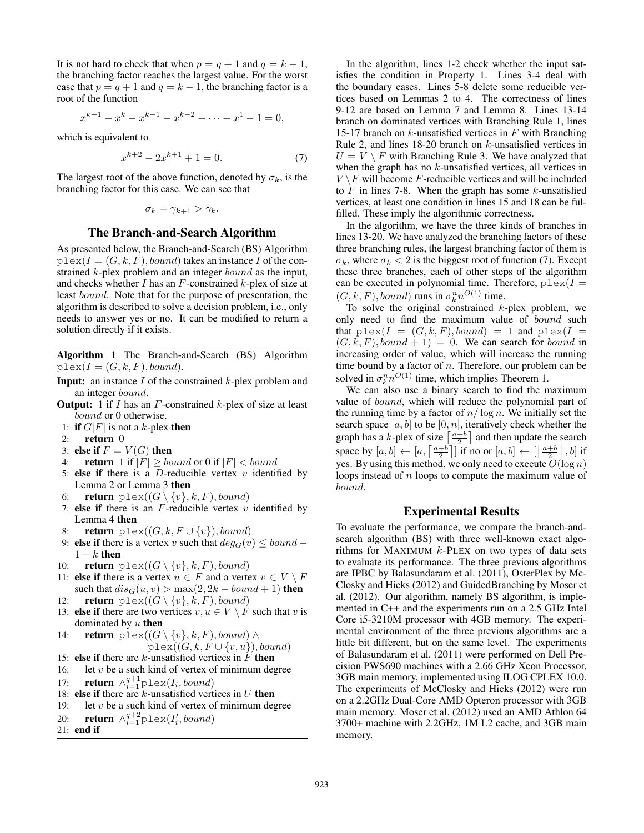It is not hard to check that when  $p = q + 1$  and  $q = k - 1$ , the branching factor reaches the largest value. For the worst case that  $p = q + 1$  and  $q = k - 1$ , the branching factor is a root of the function

$$
x^{k+1} - x^k - x^{k-1} - x^{k-2} - \dots - x^1 - 1 = 0,
$$

which is equivalent to

$$
x^{k+2} - 2x^{k+1} + 1 = 0.
$$
 (7)

The largest root of the above function, denoted by  $\sigma_k$ , is the branching factor for this case. We can see that

$$
\sigma_k = \gamma_{k+1} > \gamma_k.
$$

### The Branch-and-Search Algorithm

As presented below, the Branch-and-Search (BS) Algorithm  $p \text{lex}(I = (G, k, F), bound)$  takes an instance I of the constrained k-plex problem and an integer bound as the input, and checks whether  $I$  has an  $F$ -constrained  $k$ -plex of size at least bound. Note that for the purpose of presentation, the algorithm is described to solve a decision problem, i.e., only needs to answer yes or no. It can be modified to return a solution directly if it exists.

Algorithm 1 The Branch-and-Search (BS) Algorithm  $plex(I = (G, k, F), bound).$ 

- **Input:** an instance  $I$  of the constrained  $k$ -plex problem and an integer bound.
- **Output:** 1 if  $I$  has an  $F$ -constrained  $k$ -plex of size at least bound or 0 otherwise.
- 1: if  $G[F]$  is not a k-plex then<br>2: **return** 0
- return 0
- 3: else if  $F = V(G)$  then<br>4: **return** 1 if  $|F| > bo$
- **return** 1 if  $|F| \geq bound$  or 0 if  $|F| < bound$
- 5: else if there is a  $D$ -reducible vertex  $v$  identified by Lemma 2 or Lemma 3 then
- 6: **return**  $\not\text{plex}((G \setminus \{v\}, k, F), bound)$
- 7: else if there is an  $F$ -reducible vertex  $v$  identified by Lemma 4 then
- 8: **return**  $\text{plex}((G, k, F \cup \{v\}), bound)$
- 9: else if there is a vertex v such that  $deg_G(v) \leq bound$   $1 - k$  then
- 10: **return**  $\not\text{plex}((G \setminus \{v\}, k, F), bound)$
- 11: else if there is a vertex  $u \in F$  and a vertex  $v \in V \setminus F$ such that  $dis_G(u, v) > max(2, 2k - bound + 1)$  then
- 12: **return**  $\not\text{plex}((G \setminus \{v\}, k, F), bound)$
- 13: **else if** there are two vertices  $v, u \in V \setminus F$  such that v is dominated by  $u$  then
- 14: **return** plex $((G \setminus \{v\}, k, F), bound) \wedge$  $plex((G, k, F \cup \{v, u\}), bound)$

15: else if there are 
$$
k
$$
-unsatisfied vertices in  $F$  then

- 16: let  $v$  be a such kind of vertex of minimum degree 17: **return**  $\wedge_{i=1}^{q+1}$  plex( $I_i$ , *bound*)<br>18: **else if** there are *k*-unsatisfied vert
- 18: else if there are  $k$ -unsatisfied vertices in  $U$  then
- 19: let  $v$  be a such kind of vertex of minimum degree
- 20: return ∧ $_{i=1}^{q+2}$ plex( $I'_i, bound$ )<br>21: end if
- 21: end if

In the algorithm, lines 1-2 check whether the input satisfies the condition in Property 1. Lines 3-4 deal with the boundary cases. Lines 5-8 delete some reducible vertices based on Lemmas 2 to 4. The correctness of lines 9-12 are based on Lemma 7 and Lemma 8. Lines 13-14 branch on dominated vertices with Branching Rule 1, lines 15-17 branch on  $k$ -unsatisfied vertices in  $F$  with Branching Rule 2, and lines 18-20 branch on k-unsatisfied vertices in  $U = V \setminus F$  with Branching Rule 3. We have analyzed that when the graph has no k-unsatisfied vertices, all vertices in  $V \setminus F$  will become F-reducible vertices and will be included to  $F$  in lines 7-8. When the graph has some  $k$ -unsatisfied vertices, at least one condition in lines 15 and 18 can be fulfilled. These imply the algorithmic correctness.

In the algorithm, we have the three kinds of branches in lines 13-20. We have analyzed the branching factors of these three branching rules, the largest branching factor of them is  $\sigma_k$ , where  $\sigma_k < 2$  is the biggest root of function (7). Except these three branches, each of other steps of the algorithm can be executed in polynomial time. Therefore,  $p$ lex( $I =$  $(G, k, F)$ , bound) runs in  $\sigma_k^n n^{O(1)}$  time.<br>To solve the original constrained k.

To solve the original constrained  $k$ -plex problem, we only need to find the maximum value of bound such that  $p \, \text{lex}(I = (G, k, F), bound) = 1$  and  $p \, \text{lex}(I =$  $(G, k, F), bound + 1) = 0$ . We can search for bound in increasing order of value, which will increase the running time bound by a factor of  $n$ . Therefore, our problem can be solved in  $\sigma_k^n n^{O(1)}$  time, which implies Theorem 1.

We can also use a binary search to find the maximum value of bound, which will reduce the polynomial part of the running time by a factor of  $n/\log n$ . We initially set the search space  $[a, b]$  to be  $[0, n]$ , iteratively check whether the graph has a k-plex of size  $\lceil \frac{a+b}{2} \rceil$  and then update the search space by  $[a, b] \leftarrow [a, \lceil \frac{a+b}{2} \rceil]$  if no or  $[a, b] \leftarrow [\lfloor \frac{a+b}{2} \rfloor, b]$  if<br>yes. By using this method, we only need to execute  $O(\log n)$ . yes. By using this method, we only need to execute  $O(\log n)$ loops instead of n loops to compute the maximum value of bound.

## Experimental Results

To evaluate the performance, we compare the branch-andsearch algorithm (BS) with three well-known exact algorithms for MAXIMUM  $k$ -PLEX on two types of data sets to evaluate its performance. The three previous algorithms are IPBC by Balasundaram et al. (2011), OsterPlex by Mc-Closky and Hicks (2012) and GuidedBranching by Moser et al. (2012). Our algorithm, namely BS algorithm, is implemented in C++ and the experiments run on a 2.5 GHz Intel Core i5-3210M processor with 4GB memory. The experimental environment of the three previous algorithms are a little bit different, but on the same level. The experiments of Balasundaram et al. (2011) were performed on Dell Precision PWS690 machines with a 2.66 GHz Xeon Processor, 3GB main memory, implemented using ILOG CPLEX 10.0. The experiments of McClosky and Hicks (2012) were run on a 2.2GHz Dual-Core AMD Opteron processor with 3GB main memory. Moser et al. (2012) used an AMD Athlon 64 3700+ machine with 2.2GHz, 1M L2 cache, and 3GB main memory.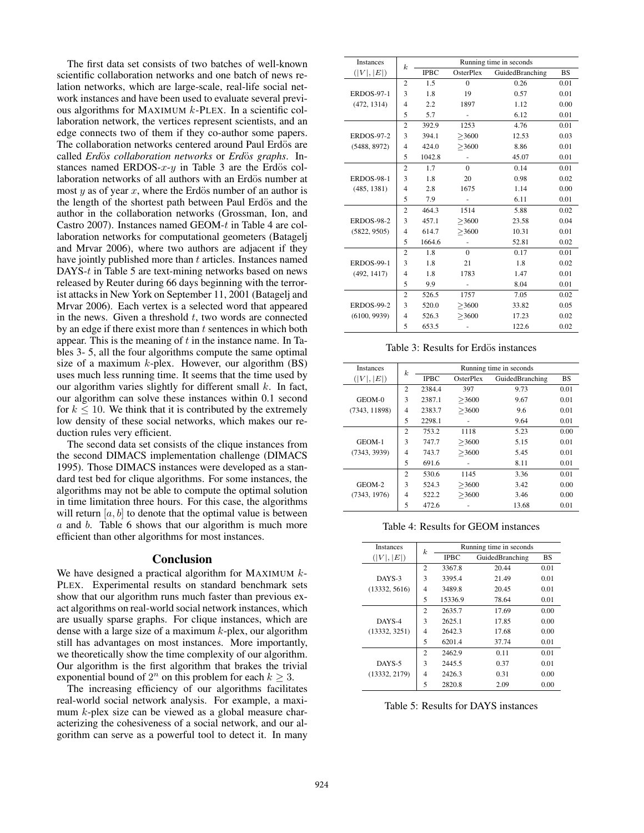The first data set consists of two batches of well-known scientific collaboration networks and one batch of news relation networks, which are large-scale, real-life social network instances and have been used to evaluate several previous algorithms for MAXIMUM k-PLEX. In a scientific collaboration network, the vertices represent scientists, and an edge connects two of them if they co-author some papers. The collaboration networks centered around Paul Erdös are called *Erdös collaboration networks* or *Erdös graphs*. Instances named ERDOS- $x-y$  in Table 3 are the Erdös collaboration networks of all authors with an Erdös number at most  $y$  as of year  $x$ , where the Erdös number of an author is the length of the shortest path between Paul Erdös and the author in the collaboration networks (Grossman, Ion, and Castro 2007). Instances named GEOM-t in Table 4 are collaboration networks for computational geometers (Batagelj and Mrvar 2006), where two authors are adjacent if they have jointly published more than t articles. Instances named DAYS-t in Table 5 are text-mining networks based on news released by Reuter during 66 days beginning with the terrorist attacks in New York on September 11, 2001 (Batagelj and Mrvar 2006). Each vertex is a selected word that appeared in the news. Given a threshold  $t$ , two words are connected by an edge if there exist more than  $t$  sentences in which both appear. This is the meaning of  $t$  in the instance name. In Tables 3- 5, all the four algorithms compute the same optimal size of a maximum  $k$ -plex. However, our algorithm  $(BS)$ uses much less running time. It seems that the time used by our algorithm varies slightly for different small  $k$ . In fact, our algorithm can solve these instances within 0.1 second for  $k \leq 10$ . We think that it is contributed by the extremely low density of these social networks, which makes our reduction rules very efficient.

The second data set consists of the clique instances from the second DIMACS implementation challenge (DIMACS 1995). Those DIMACS instances were developed as a standard test bed for clique algorithms. For some instances, the algorithms may not be able to compute the optimal solution in time limitation three hours. For this case, the algorithms will return  $[a, b]$  to denote that the optimal value is between  $a$  and  $b$ . Table 6 shows that our algorithm is much more efficient than other algorithms for most instances.

#### Conclusion

We have designed a practical algorithm for MAXIMUM  $k$ -PLEX. Experimental results on standard benchmark sets show that our algorithm runs much faster than previous exact algorithms on real-world social network instances, which are usually sparse graphs. For clique instances, which are dense with a large size of a maximum  $k$ -plex, our algorithm still has advantages on most instances. More importantly, we theoretically show the time complexity of our algorithm. Our algorithm is the first algorithm that brakes the trivial exponential bound of  $2^n$  on this problem for each  $k \geq 3$ .

The increasing efficiency of our algorithms facilitates real-world social network analysis. For example, a maximum k-plex size can be viewed as a global measure characterizing the cohesiveness of a social network, and our algorithm can serve as a powerful tool to detect it. In many

| Running time in seconds<br><b>IPBC</b><br>OsterPlex |  |  |
|-----------------------------------------------------|--|--|
| GuidedBranching<br><b>BS</b>                        |  |  |
| 0.26<br>0.01                                        |  |  |
| 0.57<br>0.01                                        |  |  |
| 0.00<br>1.12                                        |  |  |
| 6.12<br>0.01                                        |  |  |
| 4.76<br>0.01                                        |  |  |
| 12.53<br>0.03                                       |  |  |
| 8.86<br>0.01                                        |  |  |
| 45.07<br>0.01                                       |  |  |
| 0.01<br>0.14                                        |  |  |
| 0.02<br>0.98                                        |  |  |
| 1.14<br>0.00                                        |  |  |
| 6.11<br>0.01                                        |  |  |
| 5.88<br>0.02                                        |  |  |
| 0.04<br>23.58                                       |  |  |
| 0.01<br>10.31                                       |  |  |
| 52.81<br>0.02                                       |  |  |
| 0.17<br>0.01                                        |  |  |
| 1.8<br>0.02                                         |  |  |
| 1.47<br>0.01                                        |  |  |
| 8.04<br>0.01                                        |  |  |
| 7.05<br>0.02                                        |  |  |
| 0.05<br>33.82                                       |  |  |
| 17.23<br>0.02                                       |  |  |
| 122.6<br>0.02                                       |  |  |
|                                                     |  |  |

Table 3: Results for Erdös instances

| Instances     | $\boldsymbol{k}$ | Running time in seconds |           |                 |      |
|---------------|------------------|-------------------------|-----------|-----------------|------|
| ( V ,  E )    |                  | <b>IPBC</b>             | OsterPlex | GuidedBranching | BS   |
|               | $\overline{c}$   | 2384.4                  | 397       | 9.73            | 0.01 |
| GEOM-0        | 3                | 2387.1                  | >3600     | 9.67            | 0.01 |
| (7343, 11898) | $\overline{4}$   | 2383.7                  | >3600     | 9.6             | 0.01 |
|               | 5                | 2298.1                  |           | 9.64            | 0.01 |
|               | $\mathfrak{D}$   | 753.2                   | 1118      | 5.23            | 0.00 |
| GEOM-1        | 3                | 747.7                   | >3600     | 5.15            | 0.01 |
| (7343, 3939)  | 4                | 743.7                   | >3600     | 5.45            | 0.01 |
|               | 5                | 691.6                   |           | 8.11            | 0.01 |
|               | $\overline{c}$   | 530.6                   | 1145      | 3.36            | 0.01 |
| GEOM-2        | 3                | 524.3                   | >3600     | 3.42            | 0.00 |
| (7343, 1976)  | $\overline{4}$   | 522.2                   | >3600     | 3.46            | 0.00 |
|               | 5                | 472.6                   |           | 13.68           | 0.01 |

Table 4: Results for GEOM instances

| <b>Instances</b> | k              | Running time in seconds |                 |           |  |
|------------------|----------------|-------------------------|-----------------|-----------|--|
| ( V ,  E )       |                | <b>IPBC</b>             | GuidedBranching | <b>BS</b> |  |
|                  | $\overline{c}$ | 3367.8                  | 20.44           | 0.01      |  |
| DAYS-3           | 3              | 3395.4                  | 21.49           | 0.01      |  |
| (13332, 5616)    | 4              | 3489.8                  | 20.45           | 0.01      |  |
|                  | 5              | 15336.9                 | 78.64           | 0.01      |  |
|                  | $\overline{c}$ | 2635.7                  | 17.69           | 0.00      |  |
| DAYS-4           | 3              | 2625.1                  | 17.85           | 0.00      |  |
| (13332, 3251)    | 4              | 2642.3                  | 17.68           | 0.00      |  |
|                  | 5              | 6201.4                  | 37.74           | 0.01      |  |
|                  | $\overline{c}$ | 2462.9                  | 0.11            | 0.01      |  |
| DAYS-5           | 3              | 2445.5                  | 0.37            | 0.01      |  |
| (13332, 2179)    | 4              | 2426.3                  | 0.31            | 0.00      |  |
|                  | 5              | 2820.8                  | 2.09            | 0.00      |  |

Table 5: Results for DAYS instances